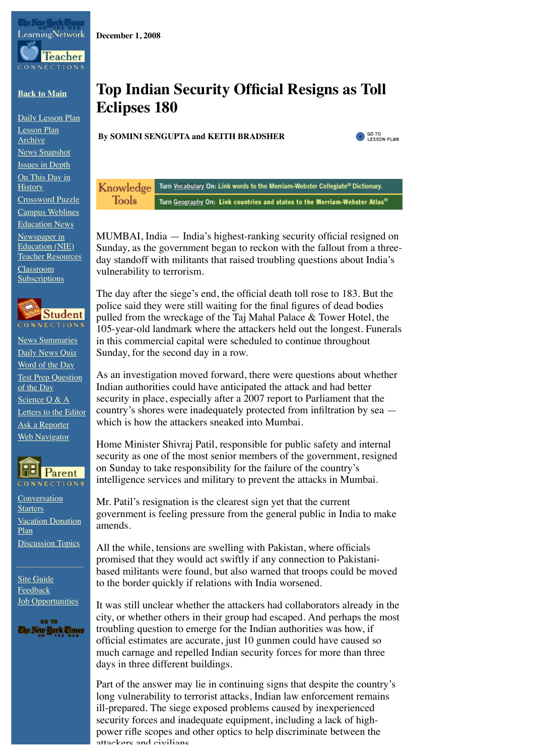CONNECTIONS

**December 1, 2008**

## **[Back to Main](http://www.nytimes.com/learning/index.html)**

[Daily Lesson Plan](http://www.nytimes.com/learning/teachers/lessons/index.html) [Lesson Plan](http://www.nytimes.com/learning/teachers/lessons/archive.html) Archive [News Snapshot](http://www.nytimes.com/learning/teachers/snapshot/index.html) [Issues in Depth](http://www.nytimes.com/learning/general/specials/index.html) [On This Day in](http://www.nytimes.com/learning/general/onthisday/index.html) **History** [Crossword Puzzle](http://www.nytimes.com/learning/teachers/xwords/index.html) [Campus Weblines](http://www.nytimes.com/learning/general/specials/weblines/index.html) [Education News](http://partners.nytimes.com/pages/education/index.html) Newspaper in Education (NIE) [Teacher Resources](http://www.nytimes.com/learning/teachers/NIE/index.html) Classroom **[Subscriptions](http://www.nytimes.com/learning/teachers/NIE/subscribe.html)** 



[News Summaries](http://www.nytimes.com/learning/students/pop/index.html) [Daily News Quiz](http://www.nytimes.com/learning/students/quiz/index.html) [Word of the Day](http://www.nytimes.com/learning/students/wordofday/index.html) [Test Prep Question](http://www.nytimes.com/learning/students/satofday/index.html) of the Day [Science Q & A](http://www.nytimes.com/learning/students/scienceqa/index.html) [Letters to the Editor](http://www.nytimes.com/learning/students/letters/index.html) [Ask a Reporter](http://www.nytimes.com/learning/students/ask_reporters/index.html) [Web Navigator](http://www.nytimes.com/learning/general/navigator/students.html)



[Conversation](http://www.nytimes.com/learning/parents/conversation/index.html) Starters **[Vacation Donation](http://www.nytimes.com/learning/parents/vacation.html)** Plan **[Discussion Topics](http://forums.nytimes.com/comment/index-education.html)** 

[Site Guide](http://www.nytimes.com/learning/general/guide.html) [Feedback](http://www.nytimes.com/learning/general/feedback/index.html) [Job Opportunities](http://www.nytimes.com/learning/teachers/lessons/writead.html)



## **Top Indian Security Official Resigns as Toll Eclipses 180**

**By SOMINI SENGUPTA and KEITH BRADSHER**



Turn Vocabulary On: Link words to the Merriam-Webster Collegiate® Dictionary. Knowledge **Tools** Turn Geography On: Link countries and states to the Merriam-Webster Atlas<sup>®</sup>

MUMBAI, India — India's highest-ranking security official resigned on Sunday, as the government began to reckon with the fallout from a threeday standoff with militants that raised troubling questions about India's vulnerability to terrorism.

The day after the siege's end, the official death toll rose to 183. But the police said they were still waiting for the final figures of dead bodies pulled from the wreckage of the Taj Mahal Palace & Tower Hotel, the 105-year-old landmark where the attackers held out the longest. Funerals in this commercial capital were scheduled to continue throughout Sunday, for the second day in a row.

As an investigation moved forward, there were questions about whether Indian authorities could have anticipated the attack and had better security in place, especially after a 2007 report to Parliament that the country's shores were inadequately protected from infiltration by sea which is how the attackers sneaked into Mumbai.

Home Minister Shivraj Patil, responsible for public safety and internal security as one of the most senior members of the government, resigned on Sunday to take responsibility for the failure of the country's intelligence services and military to prevent the attacks in Mumbai.

Mr. Patil's resignation is the clearest sign yet that the current government is feeling pressure from the general public in India to make amends.

All the while, tensions are swelling with Pakistan, where officials promised that they would act swiftly if any connection to Pakistanibased militants were found, but also warned that troops could be moved to the border quickly if relations with India worsened.

It was still unclear whether the attackers had collaborators already in the city, or whether others in their group had escaped. And perhaps the most troubling question to emerge for the Indian authorities was how, if official estimates are accurate, just 10 gunmen could have caused so much carnage and repelled Indian security forces for more than three days in three different buildings.

Part of the answer may lie in continuing signs that despite the country's long vulnerability to terrorist attacks, Indian law enforcement remains ill-prepared. The siege exposed problems caused by inexperienced security forces and inadequate equipment, including a lack of highpower rifle scopes and other optics to help discriminate between the attackers and civilians.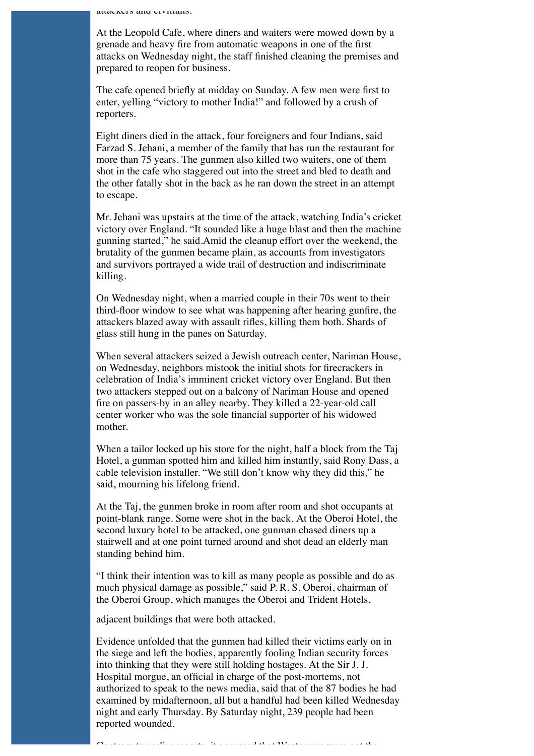At the Leopold Cafe, where diners and waiters were mowed down by a grenade and heavy fire from automatic weapons in one of the first attacks on Wednesday night, the staff finished cleaning the premises and prepared to reopen for business.

The cafe opened briefly at midday on Sunday. A few men were first to enter, yelling "victory to mother India!" and followed by a crush of reporters.

Eight diners died in the attack, four foreigners and four Indians, said Farzad S. Jehani, a member of the family that has run the restaurant for more than 75 years. The gunmen also killed two waiters, one of them shot in the cafe who staggered out into the street and bled to death and the other fatally shot in the back as he ran down the street in an attempt to escape.

Mr. Jehani was upstairs at the time of the attack, watching India's cricket victory over England. "It sounded like a huge blast and then the machine gunning started," he said.Amid the cleanup effort over the weekend, the brutality of the gunmen became plain, as accounts from investigators and survivors portrayed a wide trail of destruction and indiscriminate killing.

On Wednesday night, when a married couple in their 70s went to their third-floor window to see what was happening after hearing gunfire, the attackers blazed away with assault rifles, killing them both. Shards of glass still hung in the panes on Saturday.

When several attackers seized a Jewish outreach center, Nariman House, on Wednesday, neighbors mistook the initial shots for firecrackers in celebration of India's imminent cricket victory over England. But then two attackers stepped out on a balcony of Nariman House and opened fire on passers-by in an alley nearby. They killed a 22-year-old call center worker who was the sole financial supporter of his widowed mother.

When a tailor locked up his store for the night, half a block from the Taj Hotel, a gunman spotted him and killed him instantly, said Rony Dass, a cable television installer. "We still don't know why they did this," he said, mourning his lifelong friend.

At the Taj, the gunmen broke in room after room and shot occupants at point-blank range. Some were shot in the back. At the Oberoi Hotel, the second luxury hotel to be attacked, one gunman chased diners up a stairwell and at one point turned around and shot dead an elderly man standing behind him.

"I think their intention was to kill as many people as possible and do as much physical damage as possible," said P. R. S. Oberoi, chairman of the Oberoi Group, which manages the Oberoi and Trident Hotels,

adjacent buildings that were both attacked.

Evidence unfolded that the gunmen had killed their victims early on in the siege and left the bodies, apparently fooling Indian security forces into thinking that they were still holding hostages. At the Sir J. J. Hospital morgue, an official in charge of the post-mortems, not authorized to speak to the news media, said that of the 87 bodies he had examined by midafternoon, all but a handful had been killed Wednesday night and early Thursday. By Saturday night, 239 people had been reported wounded.

Contrary to earlier reports were not that Western were not that Western were not the theoretical terms were not<br>The contrary were not the contrary were not the contrary were not the contrary were not the contrary were not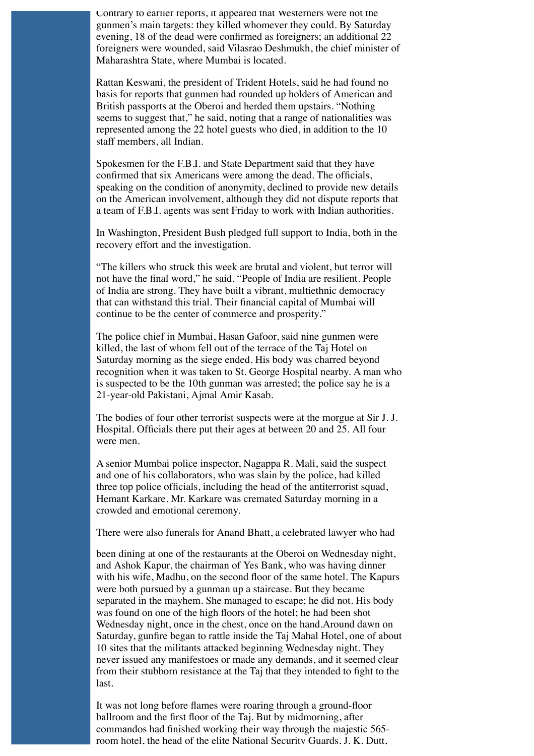Contrary to earlier reports, it appeared that Westerners were not the gunmen's main targets: they killed whomever they could. By Saturday evening, 18 of the dead were confirmed as foreigners; an additional 22 foreigners were wounded, said Vilasrao Deshmukh, the chief minister of Maharashtra State, where Mumbai is located.

Rattan Keswani, the president of Trident Hotels, said he had found no basis for reports that gunmen had rounded up holders of American and British passports at the Oberoi and herded them upstairs. "Nothing seems to suggest that," he said, noting that a range of nationalities was represented among the 22 hotel guests who died, in addition to the 10 staff members, all Indian.

Spokesmen for the F.B.I. and State Department said that they have confirmed that six Americans were among the dead. The officials, speaking on the condition of anonymity, declined to provide new details on the American involvement, although they did not dispute reports that a team of F.B.I. agents was sent Friday to work with Indian authorities.

In Washington, President Bush pledged full support to India, both in the recovery effort and the investigation.

"The killers who struck this week are brutal and violent, but terror will not have the final word," he said. "People of India are resilient. People of India are strong. They have built a vibrant, multiethnic democracy that can withstand this trial. Their financial capital of Mumbai will continue to be the center of commerce and prosperity."

The police chief in Mumbai, Hasan Gafoor, said nine gunmen were killed, the last of whom fell out of the terrace of the Taj Hotel on Saturday morning as the siege ended. His body was charred beyond recognition when it was taken to St. George Hospital nearby. A man who is suspected to be the 10th gunman was arrested; the police say he is a 21-year-old Pakistani, Ajmal Amir Kasab.

The bodies of four other terrorist suspects were at the morgue at Sir J. J. Hospital. Officials there put their ages at between 20 and 25. All four were men.

A senior Mumbai police inspector, Nagappa R. Mali, said the suspect and one of his collaborators, who was slain by the police, had killed three top police officials, including the head of the antiterrorist squad, Hemant Karkare. Mr. Karkare was cremated Saturday morning in a crowded and emotional ceremony.

There were also funerals for Anand Bhatt, a celebrated lawyer who had

been dining at one of the restaurants at the Oberoi on Wednesday night, and Ashok Kapur, the chairman of Yes Bank, who was having dinner with his wife, Madhu, on the second floor of the same hotel. The Kapurs were both pursued by a gunman up a staircase. But they became separated in the mayhem. She managed to escape; he did not. His body was found on one of the high floors of the hotel; he had been shot Wednesday night, once in the chest, once on the hand.Around dawn on Saturday, gunfire began to rattle inside the Taj Mahal Hotel, one of about 10 sites that the militants attacked beginning Wednesday night. They never issued any manifestoes or made any demands, and it seemed clear from their stubborn resistance at the Taj that they intended to fight to the last.

It was not long before flames were roaring through a ground-floor ballroom and the first floor of the Taj. But by midmorning, after commandos had finished working their way through the majestic 565 room hotel, the head of the elite National Security Guards, J. K. Dutt,